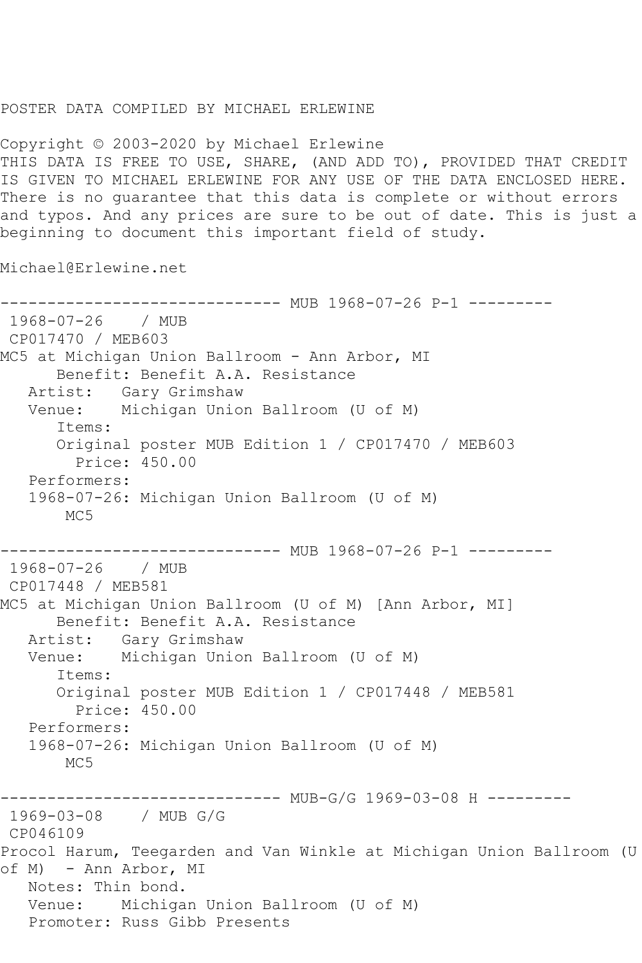## POSTER DATA COMPILED BY MICHAEL ERLEWINE

Copyright © 2003-2020 by Michael Erlewine THIS DATA IS FREE TO USE, SHARE, (AND ADD TO), PROVIDED THAT CREDIT IS GIVEN TO MICHAEL ERLEWINE FOR ANY USE OF THE DATA ENCLOSED HERE. There is no guarantee that this data is complete or without errors and typos. And any prices are sure to be out of date. This is just a beginning to document this important field of study.

Michael@Erlewine.net

------------------------------ MUB 1968-07-26 P-1 --------- 1968-07-26 / MUB CP017470 / MEB603 MC5 at Michigan Union Ballroom - Ann Arbor, MI Benefit: Benefit A.A. Resistance Artist: Gary Grimshaw Venue: Michigan Union Ballroom (U of M) Items: Original poster MUB Edition 1 / CP017470 / MEB603 Price: 450.00 Performers: 1968-07-26: Michigan Union Ballroom (U of M) MC5 ------------------------------ MUB 1968-07-26 P-1 --------- 1968-07-26 / MUB CP017448 / MEB581 MC5 at Michigan Union Ballroom (U of M) [Ann Arbor, MI] Benefit: Benefit A.A. Resistance Artist: Gary Grimshaw Venue: Michigan Union Ballroom (U of M) Items: Original poster MUB Edition 1 / CP017448 / MEB581 Price: 450.00 Performers: 1968-07-26: Michigan Union Ballroom (U of M) M<sub>C</sub>5 ------------------------------ MUB-G/G 1969-03-08 H --------- 1969-03-08 / MUB G/G CP046109 Procol Harum, Teegarden and Van Winkle at Michigan Union Ballroom (U of M) - Ann Arbor, MI Notes: Thin bond. Venue: Michigan Union Ballroom (U of M) Promoter: Russ Gibb Presents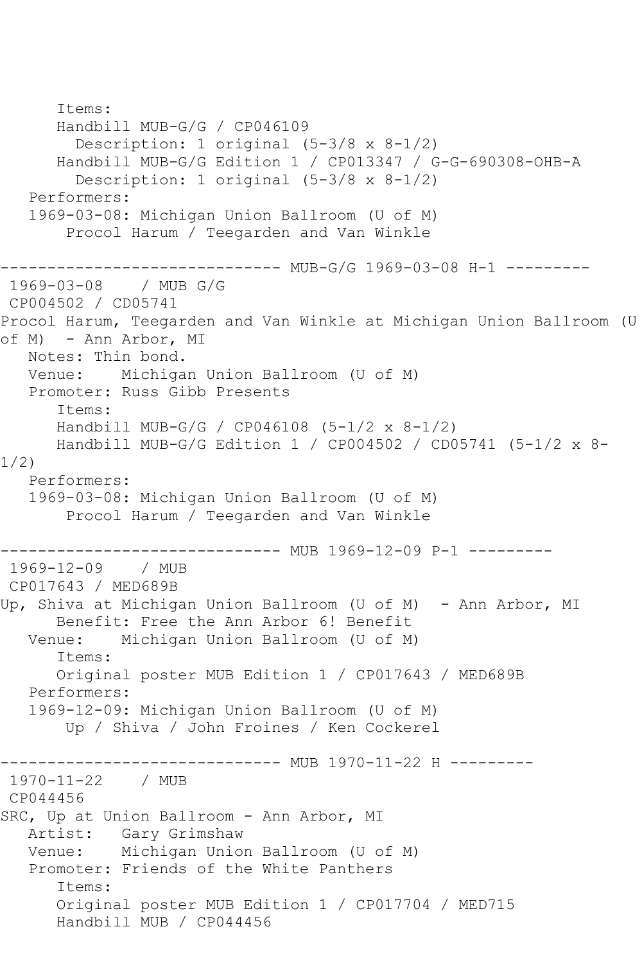```
 Items:
       Handbill MUB-G/G / CP046109
         Description: 1 original (5-3/8 x 8-1/2)
       Handbill MUB-G/G Edition 1 / CP013347 / G-G-690308-OHB-A
         Description: 1 original (5-3/8 x 8-1/2)
    Performers:
    1969-03-08: Michigan Union Ballroom (U of M)
        Procol Harum / Teegarden and Van Winkle
              ----------------- MUB-G/G 1969-03-08 H-1 ---------<br>/ MUB G/G
1969 - 03 - 08CP004502 / CD05741
Procol Harum, Teegarden and Van Winkle at Michigan Union Ballroom (U 
of M) - Ann Arbor, MI
   Notes: Thin bond.
   Venue: Michigan Union Ballroom (U of M)
   Promoter: Russ Gibb Presents
       Items:
       Handbill MUB-G/G / CP046108 (5-1/2 x 8-1/2)
       Handbill MUB-G/G Edition 1 / CP004502 / CD05741 (5-1/2 x 8-
1/2)
   Performers:
    1969-03-08: Michigan Union Ballroom (U of M)
        Procol Harum / Teegarden and Van Winkle
                   ------------ MUB 1969-12-09 P-1 ---------
1969-12-09 / MUB 
CP017643 / MED689B
Up, Shiva at Michigan Union Ballroom (U of M) - Ann Arbor, MI
  Benefit: Free the Ann Arbor 6! Benefit<br>Venue: Michigan Union Ballroom (U of M
            Michigan Union Ballroom (U of M)
       Items:
       Original poster MUB Edition 1 / CP017643 / MED689B
    Performers:
    1969-12-09: Michigan Union Ballroom (U of M)
        Up / Shiva / John Froines / Ken Cockerel
                     ---------- MUB 1970-11-22 H ---------
1970-11-22 / MUB 
CP044456
SRC, Up at Union Ballroom - Ann Arbor, MI
    Artist: Gary Grimshaw
   Venue: Michigan Union Ballroom (U of M)
    Promoter: Friends of the White Panthers
       Items:
       Original poster MUB Edition 1 / CP017704 / MED715
       Handbill MUB / CP044456
```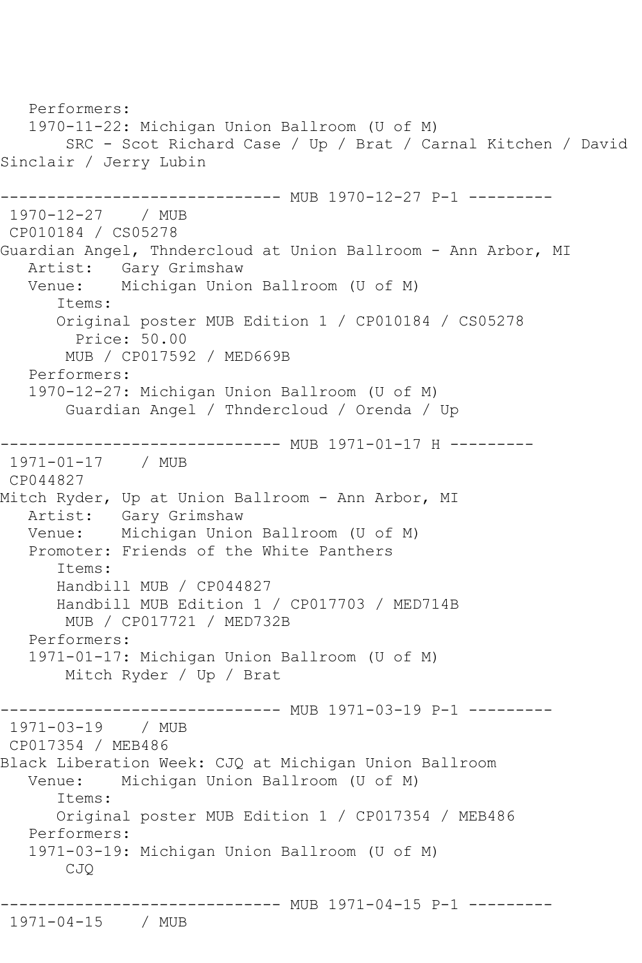```
 Performers:
    1970-11-22: Michigan Union Ballroom (U of M)
        SRC - Scot Richard Case / Up / Brat / Carnal Kitchen / David 
Sinclair / Jerry Lubin
                    ----------- MUB 1970-12-27 P-1 ---------
1970-12-27 / MUB 
CP010184 / CS05278
Guardian Angel, Thndercloud at Union Ballroom - Ann Arbor, MI
  Artist: Gary Grimshaw<br>Venue: Michigan Unio
             Michigan Union Ballroom (U of M)
       Items:
       Original poster MUB Edition 1 / CP010184 / CS05278
         Price: 50.00
        MUB / CP017592 / MED669B
   Performers:
    1970-12-27: Michigan Union Ballroom (U of M)
        Guardian Angel / Thndercloud / Orenda / Up
------------------------------ MUB 1971-01-17 H ---------
1971-01-17 / MUB 
CP044827
Mitch Ryder, Up at Union Ballroom - Ann Arbor, MI
 Artist: Gary Grimshaw
 Venue: Michigan Union Ballroom (U of M)
   Promoter: Friends of the White Panthers
       Items:
       Handbill MUB / CP044827
       Handbill MUB Edition 1 / CP017703 / MED714B
        MUB / CP017721 / MED732B
   Performers:
    1971-01-17: Michigan Union Ballroom (U of M)
        Mitch Ryder / Up / Brat
                    ---------- MUB 1971-03-19 P-1 ---------
1971-03-19 / MUB 
CP017354 / MEB486
Black Liberation Week: CJQ at Michigan Union Ballroom
   Venue: Michigan Union Ballroom (U of M)
       Items:
       Original poster MUB Edition 1 / CP017354 / MEB486
    Performers:
    1971-03-19: Michigan Union Ballroom (U of M)
        CJQ
          ------------------------------ MUB 1971-04-15 P-1 ---------
1971-04-15 / MUB
```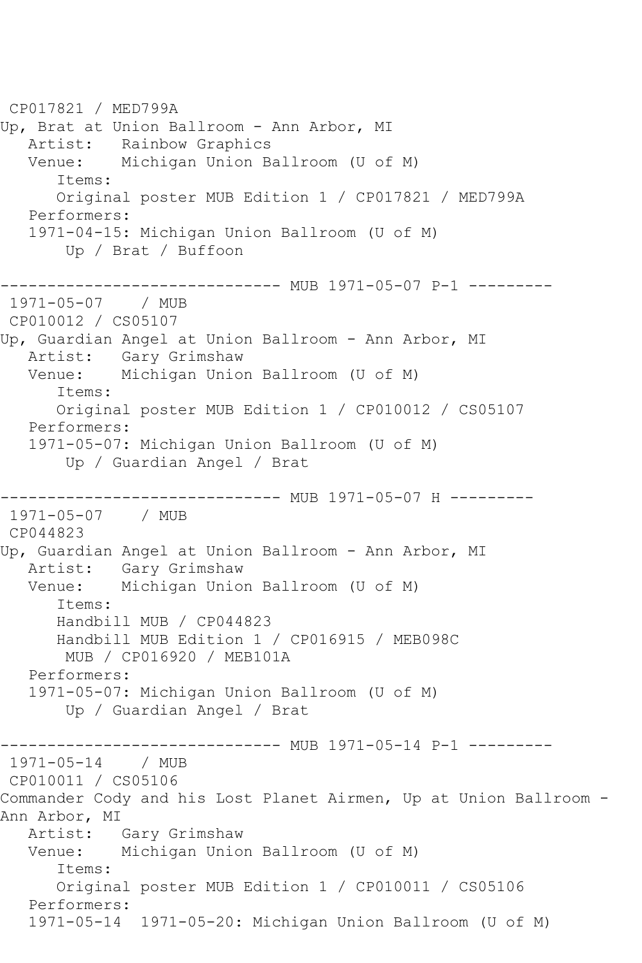CP017821 / MED799A Up, Brat at Union Ballroom - Ann Arbor, MI Artist: Rainbow Graphics Venue: Michigan Union Ballroom (U of M) Items: Original poster MUB Edition 1 / CP017821 / MED799A Performers: 1971-04-15: Michigan Union Ballroom (U of M) Up / Brat / Buffoon ------------------------------ MUB 1971-05-07 P-1 --------- 1971-05-07 / MUB CP010012 / CS05107 Up, Guardian Angel at Union Ballroom - Ann Arbor, MI Artist: Gary Grimshaw Venue: Michigan Union Ballroom (U of M) Items: Original poster MUB Edition 1 / CP010012 / CS05107 Performers: 1971-05-07: Michigan Union Ballroom (U of M) Up / Guardian Angel / Brat ----------------- MUB 1971-05-07 H ----------<br>/ MUB 1971-05-07 CP044823 Up, Guardian Angel at Union Ballroom - Ann Arbor, MI Artist: Gary Grimshaw Venue: Michigan Union Ballroom (U of M) Items: Handbill MUB / CP044823 Handbill MUB Edition 1 / CP016915 / MEB098C MUB / CP016920 / MEB101A Performers: 1971-05-07: Michigan Union Ballroom (U of M) Up / Guardian Angel / Brat ------------------------------ MUB 1971-05-14 P-1 --------- 1971-05-14 / MUB CP010011 / CS05106 Commander Cody and his Lost Planet Airmen, Up at Union Ballroom - Ann Arbor, MI Artist: Gary Grimshaw Venue: Michigan Union Ballroom (U of M) Items: Original poster MUB Edition 1 / CP010011 / CS05106 Performers: 1971-05-14 1971-05-20: Michigan Union Ballroom (U of M)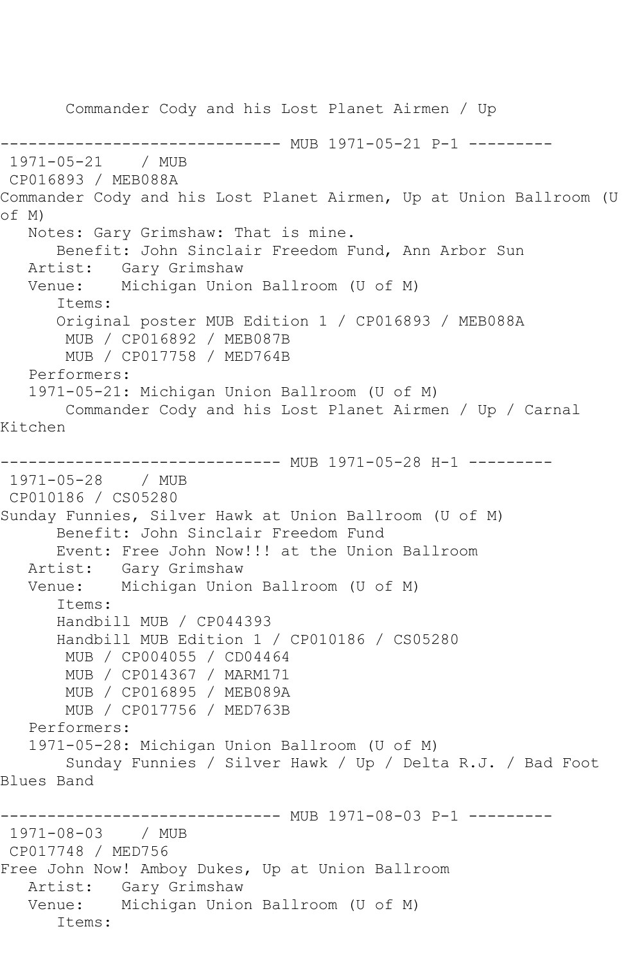Commander Cody and his Lost Planet Airmen / Up ------------------------------ MUB 1971-05-21 P-1 --------- 1971-05-21 / MUB CP016893 / MEB088A Commander Cody and his Lost Planet Airmen, Up at Union Ballroom (U of M) Notes: Gary Grimshaw: That is mine. Benefit: John Sinclair Freedom Fund, Ann Arbor Sun Artist: Gary Grimshaw<br>Venue: Michigan Unio Michigan Union Ballroom (U of M) Items: Original poster MUB Edition 1 / CP016893 / MEB088A MUB / CP016892 / MEB087B MUB / CP017758 / MED764B Performers: 1971-05-21: Michigan Union Ballroom (U of M) Commander Cody and his Lost Planet Airmen / Up / Carnal Kitchen ---------------------------- MUB 1971-05-28 H-1 ---------1971-05-28 / MUB CP010186 / CS05280 Sunday Funnies, Silver Hawk at Union Ballroom (U of M) Benefit: John Sinclair Freedom Fund Event: Free John Now!!! at the Union Ballroom Artist: Gary Grimshaw Venue: Michigan Union Ballroom (U of M) Items: Handbill MUB / CP044393 Handbill MUB Edition 1 / CP010186 / CS05280 MUB / CP004055 / CD04464 MUB / CP014367 / MARM171 MUB / CP016895 / MEB089A MUB / CP017756 / MED763B Performers: 1971-05-28: Michigan Union Ballroom (U of M) Sunday Funnies / Silver Hawk / Up / Delta R.J. / Bad Foot Blues Band ------------------------------ MUB 1971-08-03 P-1 --------- 1971-08-03 / MUB CP017748 / MED756 Free John Now! Amboy Dukes, Up at Union Ballroom Artist: Gary Grimshaw Venue: Michigan Union Ballroom (U of M) Items: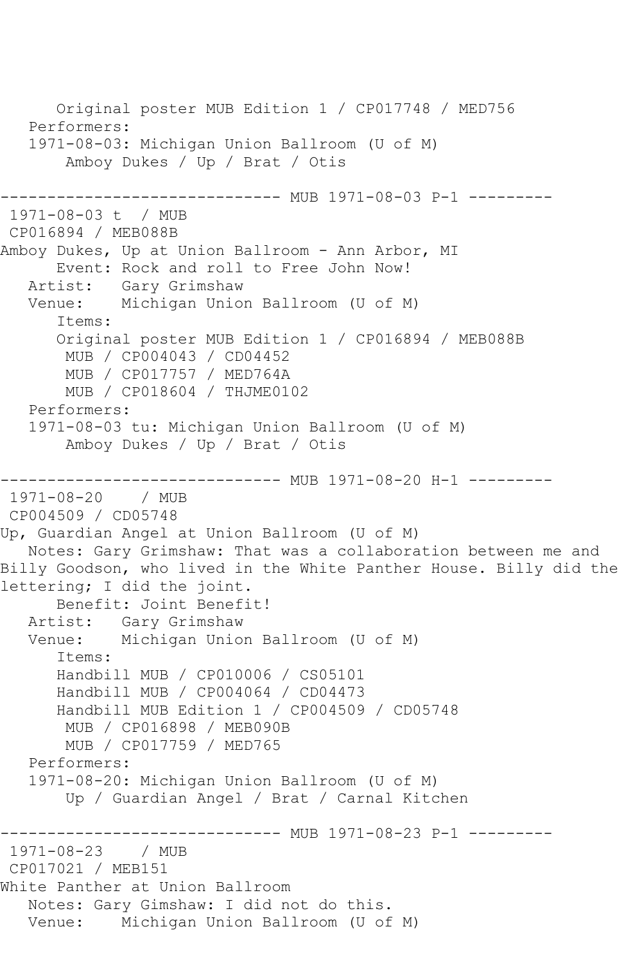```
 Original poster MUB Edition 1 / CP017748 / MED756
    Performers:
    1971-08-03: Michigan Union Ballroom (U of M)
        Amboy Dukes / Up / Brat / Otis
                    ----------- MUB 1971-08-03 P-1 ---------
1971-08-03 t / MUB 
CP016894 / MEB088B
Amboy Dukes, Up at Union Ballroom - Ann Arbor, MI
  Event: Rock and roll to Free John Now!<br>Artist: Gary Grimshaw
            Gary Grimshaw
   Venue: Michigan Union Ballroom (U of M)
       Items:
       Original poster MUB Edition 1 / CP016894 / MEB088B
        MUB / CP004043 / CD04452
        MUB / CP017757 / MED764A
        MUB / CP018604 / THJME0102
    Performers:
    1971-08-03 tu: Michigan Union Ballroom (U of M)
        Amboy Dukes / Up / Brat / Otis
                     ---------- MUB 1971-08-20 H-1 ---------
1971-08-20 / MUB 
CP004509 / CD05748
Up, Guardian Angel at Union Ballroom (U of M)
   Notes: Gary Grimshaw: That was a collaboration between me and 
Billy Goodson, who lived in the White Panther House. Billy did the
lettering; I did the joint.
       Benefit: Joint Benefit!
   Artist: Gary Grimshaw
   Venue: Michigan Union Ballroom (U of M)
       Items:
       Handbill MUB / CP010006 / CS05101
       Handbill MUB / CP004064 / CD04473
       Handbill MUB Edition 1 / CP004509 / CD05748
        MUB / CP016898 / MEB090B
        MUB / CP017759 / MED765
    Performers:
    1971-08-20: Michigan Union Ballroom (U of M)
        Up / Guardian Angel / Brat / Carnal Kitchen
                  ------------------------------ MUB 1971-08-23 P-1 ---------
1971-08-23 / MUB 
CP017021 / MEB151
White Panther at Union Ballroom
   Notes: Gary Gimshaw: I did not do this.
   Venue: Michigan Union Ballroom (U of M)
```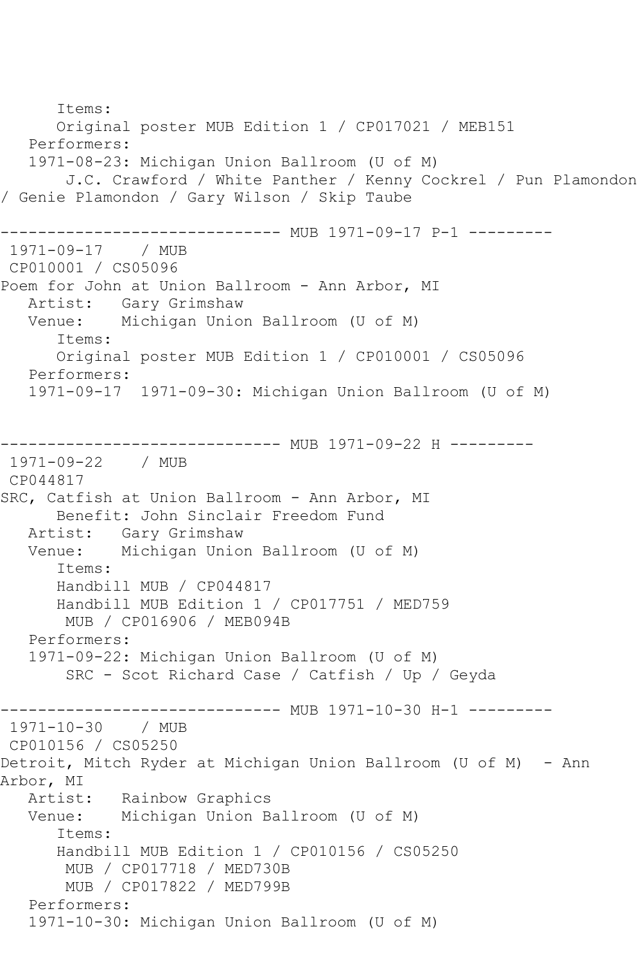Items: Original poster MUB Edition 1 / CP017021 / MEB151 Performers: 1971-08-23: Michigan Union Ballroom (U of M) J.C. Crawford / White Panther / Kenny Cockrel / Pun Plamondon / Genie Plamondon / Gary Wilson / Skip Taube ------------------------------ MUB 1971-09-17 P-1 --------- 1971-09-17 / MUB CP010001 / CS05096 Poem for John at Union Ballroom - Ann Arbor, MI Artist: Gary Grimshaw<br>Venue: Michigan Unio Michigan Union Ballroom (U of M) Items: Original poster MUB Edition 1 / CP010001 / CS05096 Performers: 1971-09-17 1971-09-30: Michigan Union Ballroom (U of M) ------------------------------ MUB 1971-09-22 H --------- 1971-09-22 / MUB CP044817 SRC, Catfish at Union Ballroom - Ann Arbor, MI Benefit: John Sinclair Freedom Fund Artist: Gary Grimshaw<br>Venue: Michigan Unio Michigan Union Ballroom (U of M) Items: Handbill MUB / CP044817 Handbill MUB Edition 1 / CP017751 / MED759 MUB / CP016906 / MEB094B Performers: 1971-09-22: Michigan Union Ballroom (U of M) SRC - Scot Richard Case / Catfish / Up / Geyda ------------------------------ MUB 1971-10-30 H-1 --------- 1971-10-30 / MUB CP010156 / CS05250 Detroit, Mitch Ryder at Michigan Union Ballroom (U of M) - Ann Arbor, MI<br>Artist: Rainbow Graphics Venue: Michigan Union Ballroom (U of M) Items: Handbill MUB Edition 1 / CP010156 / CS05250 MUB / CP017718 / MED730B MUB / CP017822 / MED799B Performers: 1971-10-30: Michigan Union Ballroom (U of M)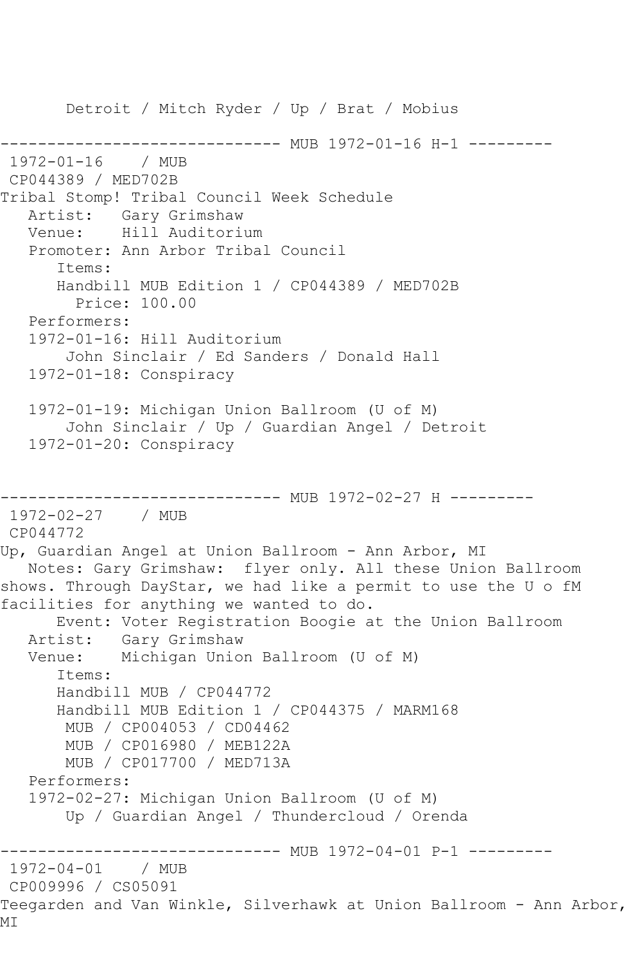Detroit / Mitch Ryder / Up / Brat / Mobius ------------------------------ MUB 1972-01-16 H-1 --------- 1972-01-16 / MUB CP044389 / MED702B Tribal Stomp! Tribal Council Week Schedule Artist: Gary Grimshaw Venue: Hill Auditorium Promoter: Ann Arbor Tribal Council Items: Handbill MUB Edition 1 / CP044389 / MED702B Price: 100.00 Performers: 1972-01-16: Hill Auditorium John Sinclair / Ed Sanders / Donald Hall 1972-01-18: Conspiracy 1972-01-19: Michigan Union Ballroom (U of M) John Sinclair / Up / Guardian Angel / Detroit 1972-01-20: Conspiracy ------------------------------ MUB 1972-02-27 H --------- 1972-02-27 / MUB CP044772 Up, Guardian Angel at Union Ballroom - Ann Arbor, MI Notes: Gary Grimshaw: flyer only. All these Union Ballroom shows. Through DayStar, we had like a permit to use the U o fM facilities for anything we wanted to do. Event: Voter Registration Boogie at the Union Ballroom Artist: Gary Grimshaw Venue: Michigan Union Ballroom (U of M) Items: Handbill MUB / CP044772 Handbill MUB Edition 1 / CP044375 / MARM168 MUB / CP004053 / CD04462 MUB / CP016980 / MEB122A MUB / CP017700 / MED713A Performers: 1972-02-27: Michigan Union Ballroom (U of M) Up / Guardian Angel / Thundercloud / Orenda ------------------------------ MUB 1972-04-01 P-1 --------- 1972-04-01 / MUB CP009996 / CS05091 Teegarden and Van Winkle, Silverhawk at Union Ballroom - Ann Arbor, MI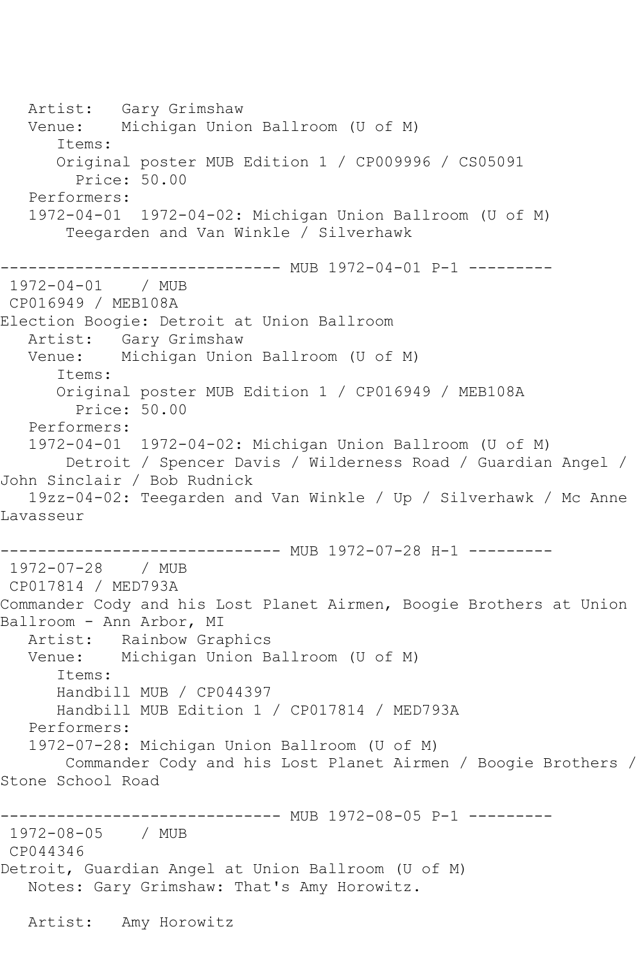Artist: Gary Grimshaw Venue: Michigan Union Ballroom (U of M) Items: Original poster MUB Edition 1 / CP009996 / CS05091 Price: 50.00 Performers: 1972-04-01 1972-04-02: Michigan Union Ballroom (U of M) Teegarden and Van Winkle / Silverhawk ------------------------------ MUB 1972-04-01 P-1 --------- 1972-04-01 / MUB CP016949 / MEB108A Election Boogie: Detroit at Union Ballroom Artist: Gary Grimshaw Venue: Michigan Union Ballroom (U of M) Items: Original poster MUB Edition 1 / CP016949 / MEB108A Price: 50.00 Performers: 1972-04-01 1972-04-02: Michigan Union Ballroom (U of M) Detroit / Spencer Davis / Wilderness Road / Guardian Angel / John Sinclair / Bob Rudnick 19zz-04-02: Teegarden and Van Winkle / Up / Silverhawk / Mc Anne Lavasseur ------------------------------ MUB 1972-07-28 H-1 --------- 1972-07-28 / MUB CP017814 / MED793A Commander Cody and his Lost Planet Airmen, Boogie Brothers at Union Ballroom - Ann Arbor, MI Artist: Rainbow Graphics Venue: Michigan Union Ballroom (U of M) Items: Handbill MUB / CP044397 Handbill MUB Edition 1 / CP017814 / MED793A Performers: 1972-07-28: Michigan Union Ballroom (U of M) Commander Cody and his Lost Planet Airmen / Boogie Brothers / Stone School Road ------------------------------ MUB 1972-08-05 P-1 --------- 1972-08-05 / MUB CP044346 Detroit, Guardian Angel at Union Ballroom (U of M) Notes: Gary Grimshaw: That's Amy Horowitz. Artist: Amy Horowitz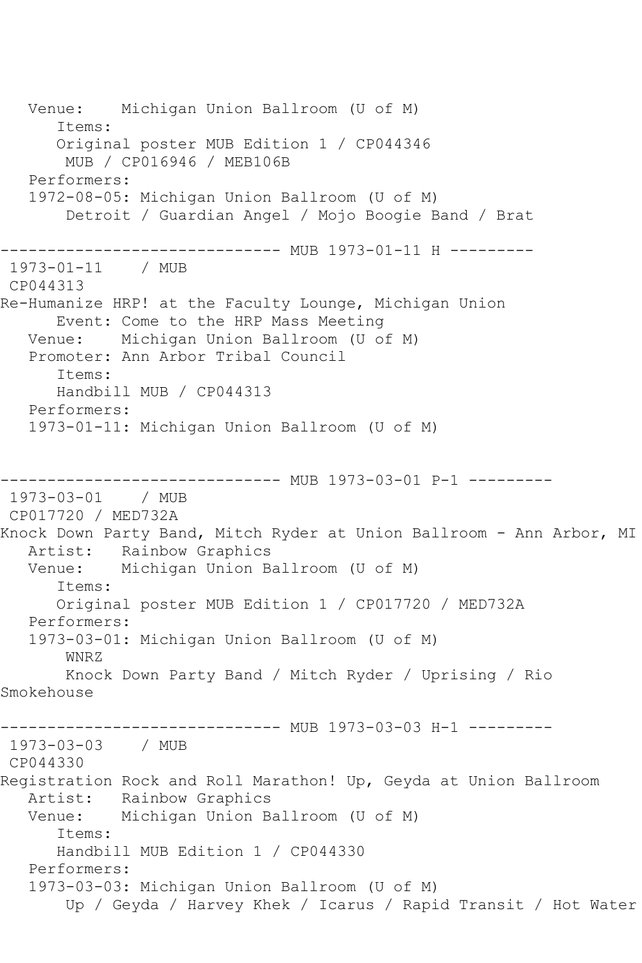Venue: Michigan Union Ballroom (U of M) Items: Original poster MUB Edition 1 / CP044346 MUB / CP016946 / MEB106B Performers: 1972-08-05: Michigan Union Ballroom (U of M) Detroit / Guardian Angel / Mojo Boogie Band / Brat -------------------- MUB 1973-01-11 H ---------1973-01-11 / MUB CP044313 Re-Humanize HRP! at the Faculty Lounge, Michigan Union Event: Come to the HRP Mass Meeting Venue: Michigan Union Ballroom (U of M) Promoter: Ann Arbor Tribal Council Items: Handbill MUB / CP044313 Performers: 1973-01-11: Michigan Union Ballroom (U of M) ---------- MUB 1973-03-01 P-1 ---------1973-03-01 / MUB CP017720 / MED732A Knock Down Party Band, Mitch Ryder at Union Ballroom - Ann Arbor, MI Artist: Rainbow Graphics<br>Venue: Michigan Union B Michigan Union Ballroom (U of M) Items: Original poster MUB Edition 1 / CP017720 / MED732A Performers: 1973-03-01: Michigan Union Ballroom (U of M) WNRZ Knock Down Party Band / Mitch Ryder / Uprising / Rio Smokehouse ------------------------------ MUB 1973-03-03 H-1 --------- 1973-03-03 / MUB CP044330 Registration Rock and Roll Marathon! Up, Geyda at Union Ballroom Artist: Rainbow Graphics Venue: Michigan Union Ballroom (U of M) Items: Handbill MUB Edition 1 / CP044330 Performers: 1973-03-03: Michigan Union Ballroom (U of M) Up / Geyda / Harvey Khek / Icarus / Rapid Transit / Hot Water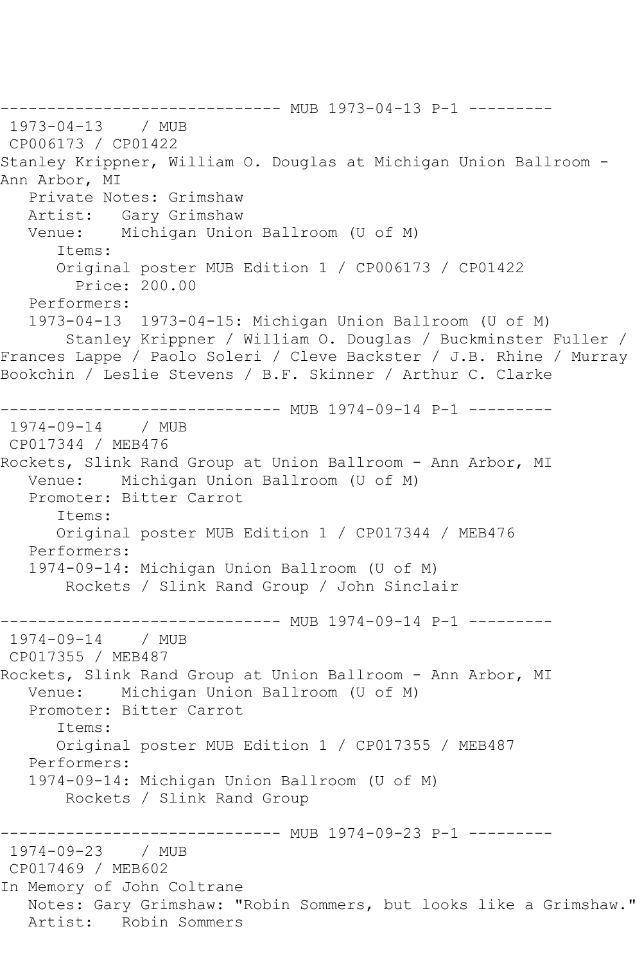------------------------------ MUB 1973-04-13 P-1 ---------<br>1973-04-13 / MUB 1973-04-13 CP006173 / CP01422 Stanley Krippner, William O. Douglas at Michigan Union Ballroom - Ann Arbor, MI Private Notes: Grimshaw Artist: Gary Grimshaw Venue: Michigan Union Ballroom (U of M) Items: Original poster MUB Edition 1 / CP006173 / CP01422 Price: 200.00 Performers: 1973-04-13 1973-04-15: Michigan Union Ballroom (U of M) Stanley Krippner / William O. Douglas / Buckminster Fuller / Frances Lappe / Paolo Soleri / Cleve Backster / J.B. Rhine / Murray Bookchin / Leslie Stevens / B.F. Skinner / Arthur C. Clarke ------------------------------ MUB 1974-09-14 P-1 --------- 1974-09-14 / MUB CP017344 / MEB476 Rockets, Slink Rand Group at Union Ballroom - Ann Arbor, MI Venue: Michigan Union Ballroom (U of M) Promoter: Bitter Carrot Items: Original poster MUB Edition 1 / CP017344 / MEB476 Performers: 1974-09-14: Michigan Union Ballroom (U of M) Rockets / Slink Rand Group / John Sinclair ----------------------------- MUB 1974-09-14 P-1 ---------<br>1974-09-14 / MUB  $1974 - 09 - 14$ CP017355 / MEB487 Rockets, Slink Rand Group at Union Ballroom - Ann Arbor, MI Venue: Michigan Union Ballroom (U of M) Promoter: Bitter Carrot Items: Original poster MUB Edition 1 / CP017355 / MEB487 Performers: 1974-09-14: Michigan Union Ballroom (U of M) Rockets / Slink Rand Group ------------------------------ MUB 1974-09-23 P-1 --------- 1974-09-23 / MUB CP017469 / MEB602 In Memory of John Coltrane Notes: Gary Grimshaw: "Robin Sommers, but looks like a Grimshaw." Artist: Robin Sommers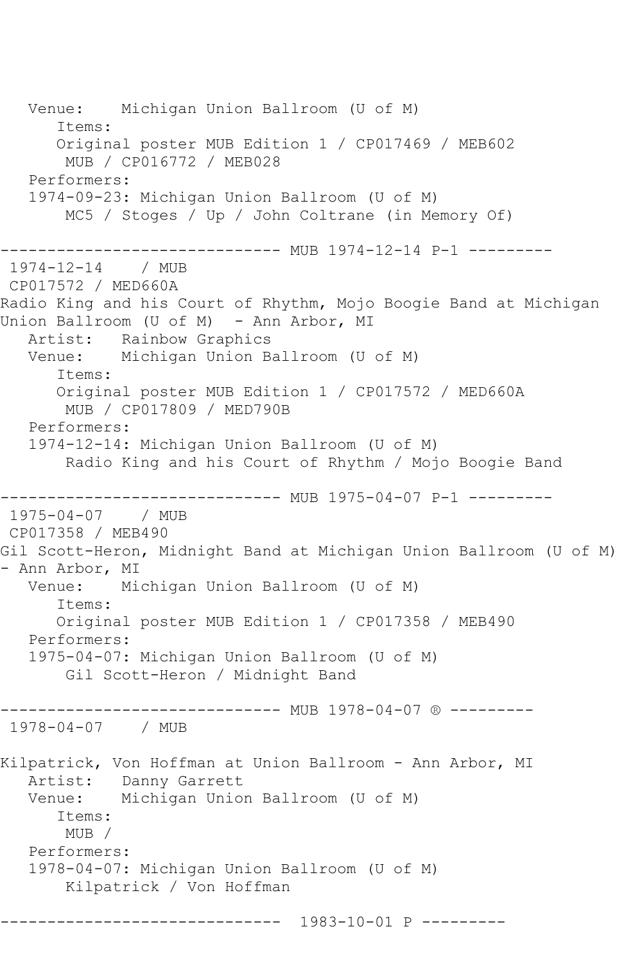Venue: Michigan Union Ballroom (U of M) Items: Original poster MUB Edition 1 / CP017469 / MEB602 MUB / CP016772 / MEB028 Performers: 1974-09-23: Michigan Union Ballroom (U of M) MC5 / Stoges / Up / John Coltrane (in Memory Of) ------------------- MUB 1974-12-14 P-1 ---------1974-12-14 / MUB CP017572 / MED660A Radio King and his Court of Rhythm, Mojo Boogie Band at Michigan Union Ballroom (U of M) - Ann Arbor, MI Artist: Rainbow Graphics Venue: Michigan Union Ballroom (U of M) Items: Original poster MUB Edition 1 / CP017572 / MED660A MUB / CP017809 / MED790B Performers: 1974-12-14: Michigan Union Ballroom (U of M) Radio King and his Court of Rhythm / Mojo Boogie Band ------------------------------ MUB 1975-04-07 P-1 --------- 1975-04-07 / MUB CP017358 / MEB490 Gil Scott-Heron, Midnight Band at Michigan Union Ballroom (U of M) - Ann Arbor, MI<br>Venue: Mi Michigan Union Ballroom (U of M) Items: Original poster MUB Edition 1 / CP017358 / MEB490 Performers: 1975-04-07: Michigan Union Ballroom (U of M) Gil Scott-Heron / Midnight Band -------------- MUB 1978-04-07 ® ---------1978-04-07 / MUB Kilpatrick, Von Hoffman at Union Ballroom - Ann Arbor, MI Artist: Danny Garrett Venue: Michigan Union Ballroom (U of M) Items: MUB / Performers: 1978-04-07: Michigan Union Ballroom (U of M) Kilpatrick / Von Hoffman ------------------------------ 1983-10-01 P ---------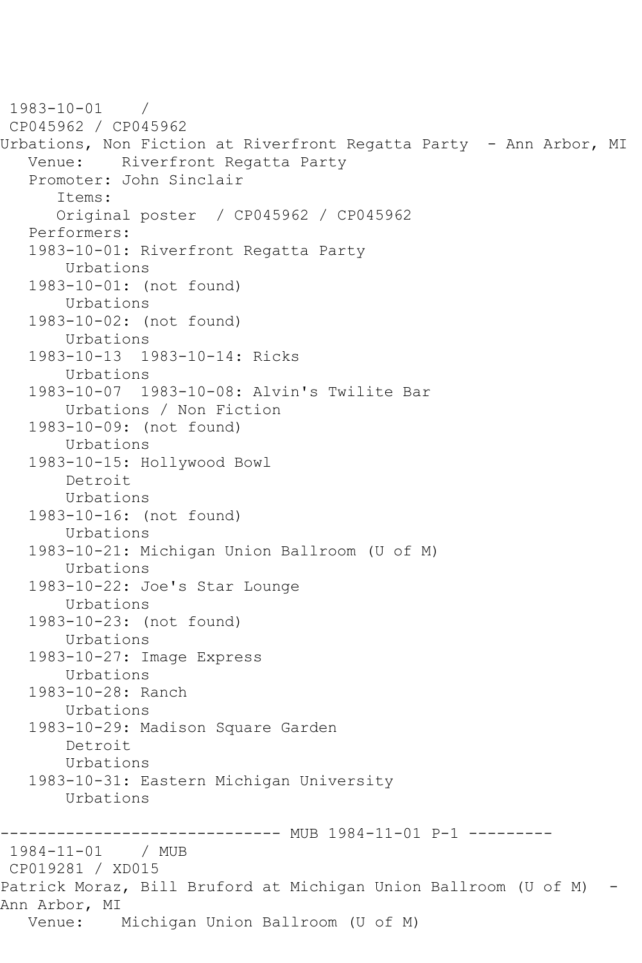```
1983-10-01 / 
CP045962 / CP045962
Urbations, Non Fiction at Riverfront Regatta Party - Ann Arbor, MI
   Venue: Riverfront Regatta Party
    Promoter: John Sinclair
       Items:
       Original poster / CP045962 / CP045962
    Performers:
    1983-10-01: Riverfront Regatta Party
        Urbations
    1983-10-01: (not found)
        Urbations
    1983-10-02: (not found)
        Urbations
    1983-10-13 1983-10-14: Ricks
        Urbations
    1983-10-07 1983-10-08: Alvin's Twilite Bar
        Urbations / Non Fiction
    1983-10-09: (not found)
        Urbations
    1983-10-15: Hollywood Bowl
        Detroit
        Urbations
    1983-10-16: (not found)
        Urbations
    1983-10-21: Michigan Union Ballroom (U of M)
        Urbations
    1983-10-22: Joe's Star Lounge
        Urbations
    1983-10-23: (not found)
        Urbations
    1983-10-27: Image Express
        Urbations
    1983-10-28: Ranch
        Urbations
    1983-10-29: Madison Square Garden
        Detroit
        Urbations
    1983-10-31: Eastern Michigan University
        Urbations
------------------------------ MUB 1984-11-01 P-1 ---------
1984-11-01 / MUB 
CP019281 / XD015
Patrick Moraz, Bill Bruford at Michigan Union Ballroom (U of M) -
Ann Arbor, MI
   Venue: Michigan Union Ballroom (U of M)
```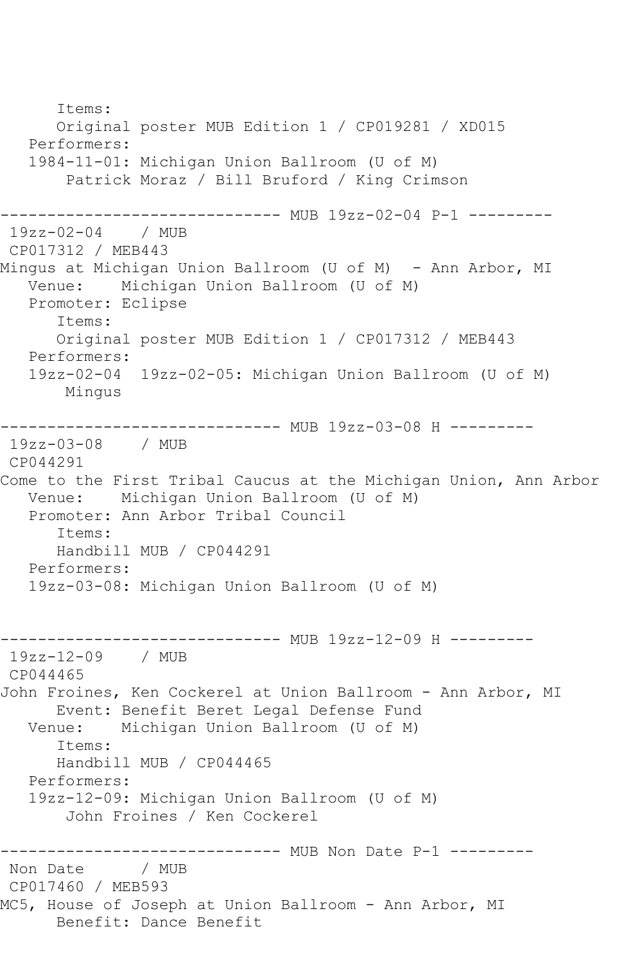Items: Original poster MUB Edition 1 / CP019281 / XD015 Performers: 1984-11-01: Michigan Union Ballroom (U of M) Patrick Moraz / Bill Bruford / King Crimson ------------------------------ MUB 19zz-02-04 P-1 --------- 19zz-02-04 / MUB CP017312 / MEB443 Mingus at Michigan Union Ballroom (U of M) - Ann Arbor, MI Venue: Michigan Union Ballroom (U of M) Promoter: Eclipse Items: Original poster MUB Edition 1 / CP017312 / MEB443 Performers: 19zz-02-04 19zz-02-05: Michigan Union Ballroom (U of M) Mingus ------------------------------ MUB 19zz-03-08 H --------- 19zz-03-08 / MUB CP044291 Come to the First Tribal Caucus at the Michigan Union, Ann Arbor Venue: Michigan Union Ballroom (U of M) Promoter: Ann Arbor Tribal Council Items: Handbill MUB / CP044291 Performers: 19zz-03-08: Michigan Union Ballroom (U of M) ------------------------------ MUB 19zz-12-09 H --------- 19zz-12-09 / MUB CP044465 John Froines, Ken Cockerel at Union Ballroom - Ann Arbor, MI Event: Benefit Beret Legal Defense Fund Venue: Michigan Union Ballroom (U of M) Items: Handbill MUB / CP044465 Performers: 19zz-12-09: Michigan Union Ballroom (U of M) John Froines / Ken Cockerel ------------------------------ MUB Non Date P-1 ---------<br>Non Date / MUB Non Date CP017460 / MEB593 MC5, House of Joseph at Union Ballroom - Ann Arbor, MI Benefit: Dance Benefit